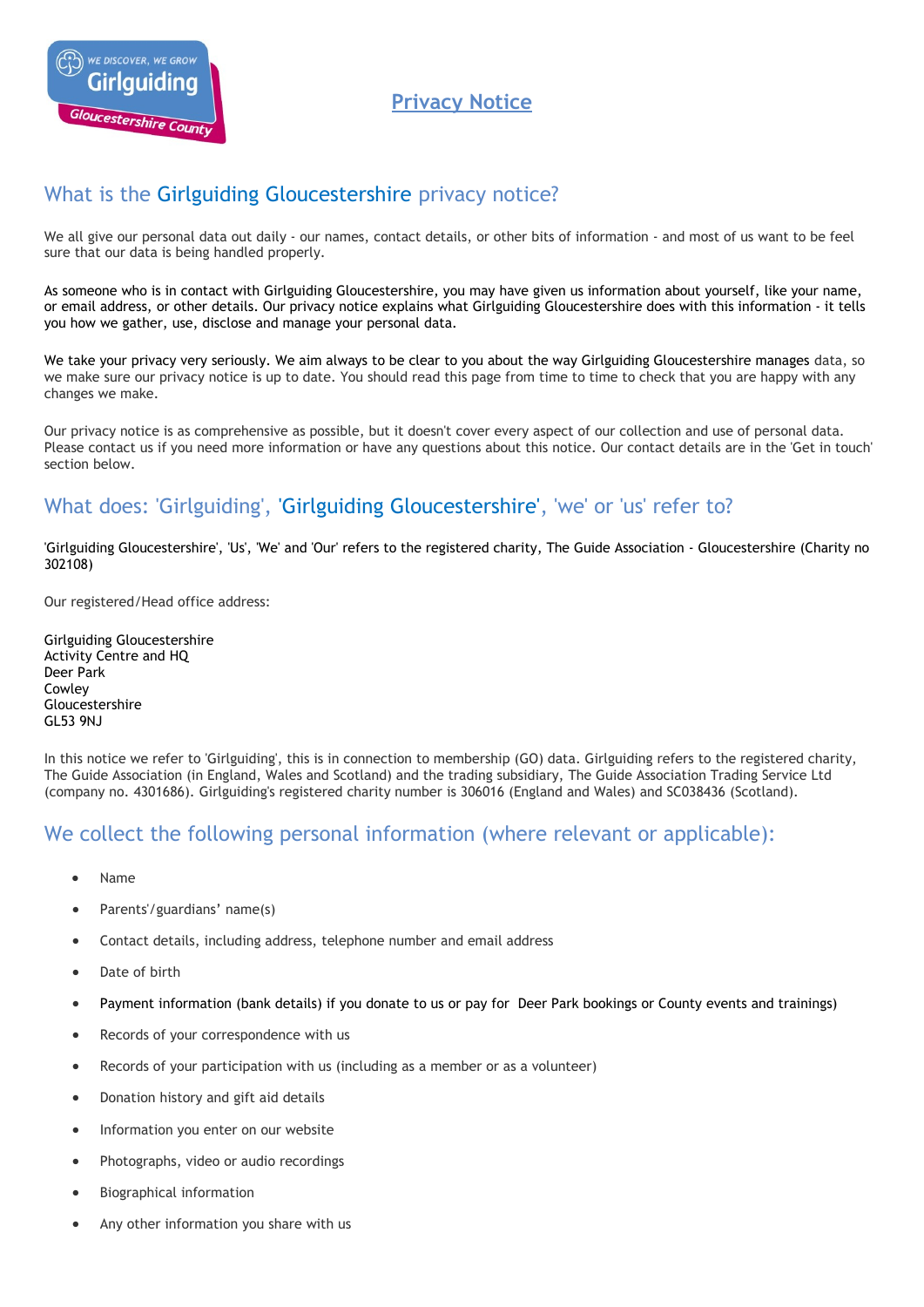

**Privacy Notice**

# What is the Girlguiding Gloucestershire privacy notice?

We all give our personal data out daily - our names, contact details, or other bits of information - and most of us want to be feel sure that our data is being handled properly.

As someone who is in contact with Girlguiding Gloucestershire, you may have given us information about yourself, like your name, or email address, or other details. Our privacy notice explains what Girlguiding Gloucestershire does with this information - it tells you how we gather, use, disclose and manage your personal data.

We take your privacy very seriously. We aim always to be clear to you about the way Girlguiding Gloucestershire manages data, so we make sure our privacy notice is up to date. You should read this page from time to time to check that you are happy with any changes we make.

Our privacy notice is as comprehensive as possible, but it doesn't cover every aspect of our collection and use of personal data. Please contact us if you need more information or have any questions about this notice. Our contact details are in the 'Get in touch' section below.

# What does: 'Girlguiding', 'Girlguiding Gloucestershire', 'we' or 'us' refer to?

'Girlguiding Gloucestershire', 'Us', 'We' and 'Our' refers to the registered charity, The Guide Association - Gloucestershire (Charity no 302108)

Our registered/Head office address:

Girlguiding Gloucestershire Activity Centre and HQ Deer Park Cowley Gloucestershire GL53 9NJ

In this notice we refer to 'Girlguiding', this is in connection to membership (GO) data. Girlguiding refers to the registered charity, The Guide Association (in England, Wales and Scotland) and the trading subsidiary, The Guide Association Trading Service Ltd (company no. 4301686). Girlguiding's registered charity number is 306016 (England and Wales) and SC038436 (Scotland).

### We collect the following personal information (where relevant or applicable):

- Name
- Parents'/guardians' name(s)
- Contact details, including address, telephone number and email address
- Date of birth
- Payment information (bank details) if you donate to us or pay for Deer Park bookings or County events and trainings)
- Records of your correspondence with us
- Records of your participation with us (including as a member or as a volunteer)
- Donation history and gift aid details
- Information you enter on our website
- Photographs, video or audio recordings
- Biographical information
- Any other information you share with us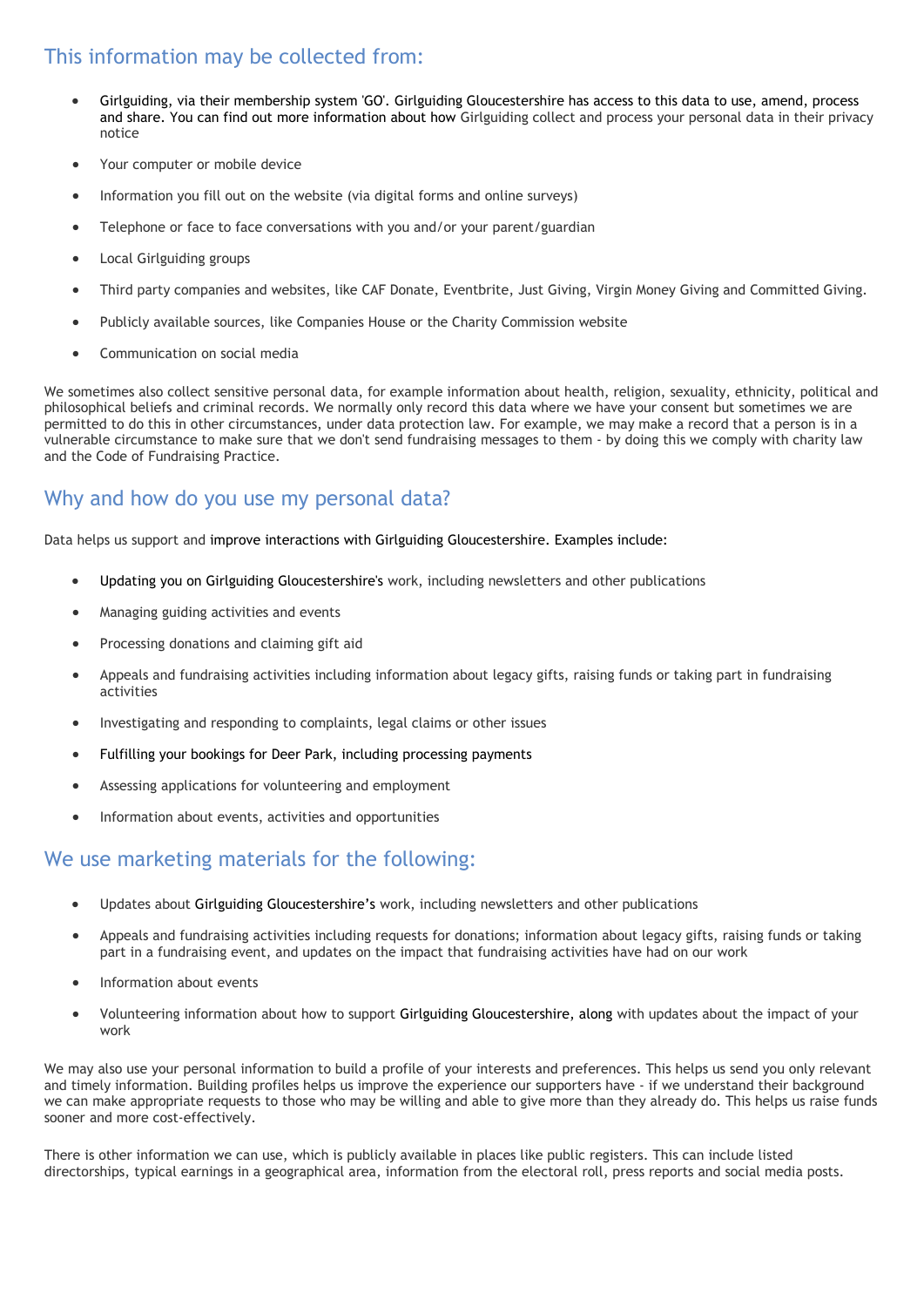# This information may be collected from:

- Girlguiding, via their membership system 'GO'. Girlguiding Gloucestershire has access to this data to use, amend, process and share. You can find out more information about how Girlguiding collect and process your personal data in their privacy notice
- Your computer or mobile device
- Information you fill out on the website (via digital forms and online surveys)
- Telephone or face to face conversations with you and/or your parent/guardian
- Local Girlguiding groups
- Third party companies and websites, like CAF Donate, Eventbrite, Just Giving, Virgin Money Giving and Committed Giving.
- Publicly available sources, like Companies House or the Charity Commission website
- Communication on social media

We sometimes also collect sensitive personal data, for example information about health, religion, sexuality, ethnicity, political and philosophical beliefs and criminal records. We normally only record this data where we have your consent but sometimes we are permitted to do this in other circumstances, under data protection law. For example, we may make a record that a person is in a vulnerable circumstance to make sure that we don't send fundraising messages to them - by doing this we comply with charity law and the Code of Fundraising Practice.

## Why and how do you use my personal data?

Data helps us support and improve interactions with Girlguiding Gloucestershire. Examples include:

- Updating you on Girlguiding Gloucestershire's work, including newsletters and other publications
- Managing guiding activities and events
- Processing donations and claiming gift aid
- Appeals and fundraising activities including information about legacy gifts, raising funds or taking part in fundraising activities
- Investigating and responding to complaints, legal claims or other issues
- Fulfilling your bookings for Deer Park, including processing payments
- Assessing applications for volunteering and employment
- Information about events, activities and opportunities

## We use marketing materials for the following:

- Updates about Girlguiding Gloucestershire's work, including newsletters and other publications
- Appeals and fundraising activities including requests for donations; information about legacy gifts, raising funds or taking part in a fundraising event, and updates on the impact that fundraising activities have had on our work
- Information about events
- Volunteering information about how to support Girlguiding Gloucestershire, along with updates about the impact of your work

We may also use your personal information to build a profile of your interests and preferences. This helps us send you only relevant and timely information. Building profiles helps us improve the experience our supporters have - if we understand their background we can make appropriate requests to those who may be willing and able to give more than they already do. This helps us raise funds sooner and more cost-effectively.

There is other information we can use, which is publicly available in places like public registers. This can include listed directorships, typical earnings in a geographical area, information from the electoral roll, press reports and social media posts.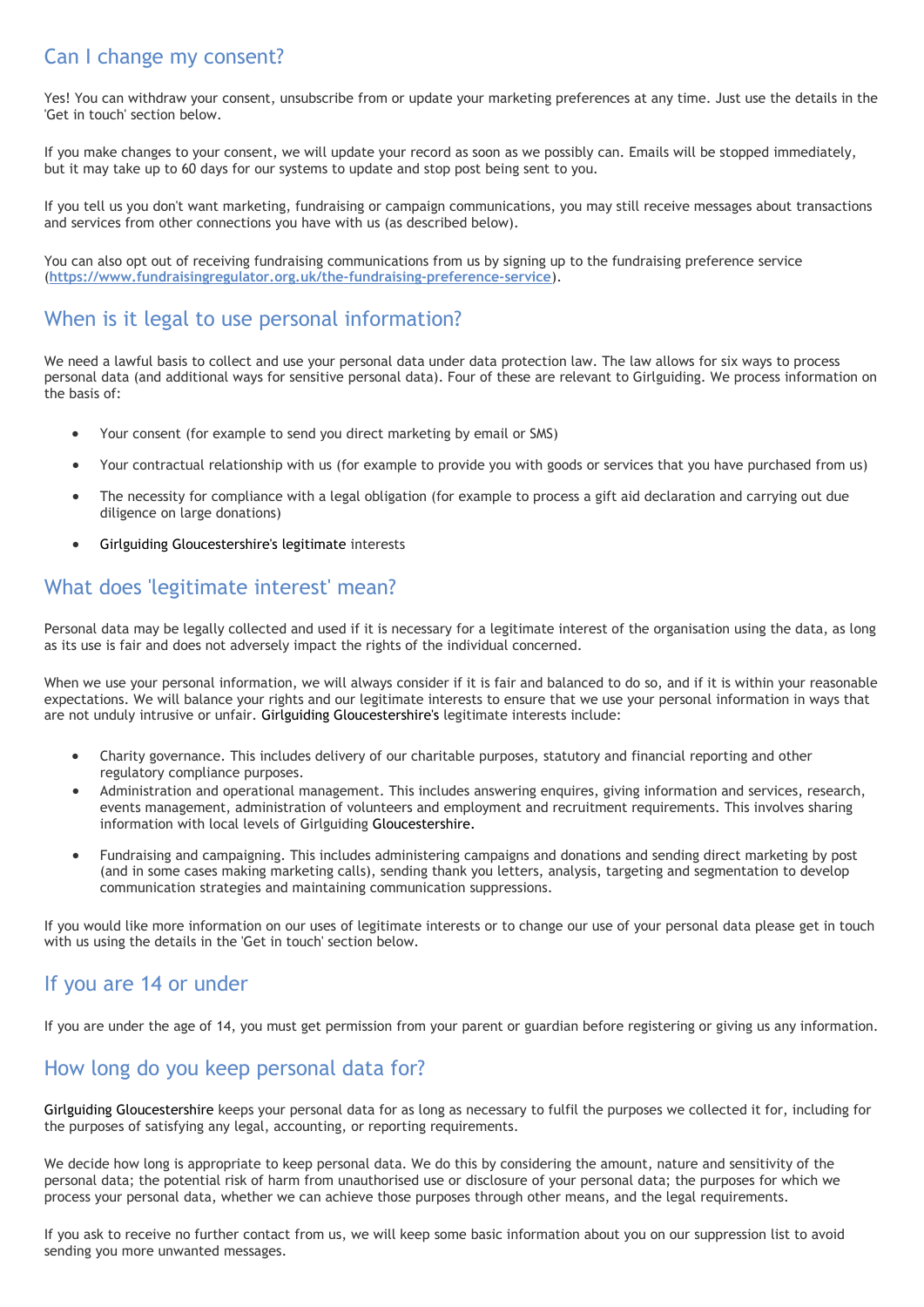# Can I change my consent?

Yes! You can withdraw your consent, unsubscribe from or update your marketing preferences at any time. Just use the details in the 'Get in touch' section below.

If you make changes to your consent, we will update your record as soon as we possibly can. Emails will be stopped immediately, but it may take up to 60 days for our systems to update and stop post being sent to you.

If you tell us you don't want marketing, fundraising or campaign communications, you may still receive messages about transactions and services from other connections you have with us (as described below).

You can also opt out of receiving fundraising communications from us by signing up to the fundraising preference service (**<https://www.fundraisingregulator.org.uk/the-fundraising-preference-service>**).

## When is it legal to use personal information?

We need a lawful basis to collect and use your personal data under data protection law. The law allows for six ways to process personal data (and additional ways for sensitive personal data). Four of these are relevant to Girlguiding. We process information on the basis of:

- Your consent (for example to send you direct marketing by email or SMS)
- Your contractual relationship with us (for example to provide you with goods or services that you have purchased from us)
- The necessity for compliance with a legal obligation (for example to process a gift aid declaration and carrying out due diligence on large donations)
- Girlguiding Gloucestershire's legitimate interests

# What does 'legitimate interest' mean?

Personal data may be legally collected and used if it is necessary for a legitimate interest of the organisation using the data, as long as its use is fair and does not adversely impact the rights of the individual concerned.

When we use your personal information, we will always consider if it is fair and balanced to do so, and if it is within your reasonable expectations. We will balance your rights and our legitimate interests to ensure that we use your personal information in ways that are not unduly intrusive or unfair. Girlguiding Gloucestershire's legitimate interests include:

- Charity governance. This includes delivery of our charitable purposes, statutory and financial reporting and other regulatory compliance purposes.
- Administration and operational management. This includes answering enquires, giving information and services, research, events management, administration of volunteers and employment and recruitment requirements. This involves sharing information with local levels of Girlguiding Gloucestershire.
- Fundraising and campaigning. This includes administering campaigns and donations and sending direct marketing by post (and in some cases making marketing calls), sending thank you letters, analysis, targeting and segmentation to develop communication strategies and maintaining communication suppressions.

If you would like more information on our uses of legitimate interests or to change our use of your personal data please get in touch with us using the details in the 'Get in touch' section below.

### If you are 14 or under

If you are under the age of 14, you must get permission from your parent or guardian before registering or giving us any information.

## How long do you keep personal data for?

Girlguiding Gloucestershire keeps your personal data for as long as necessary to fulfil the purposes we collected it for, including for the purposes of satisfying any legal, accounting, or reporting requirements.

We decide how long is appropriate to keep personal data. We do this by considering the amount, nature and sensitivity of the personal data; the potential risk of harm from unauthorised use or disclosure of your personal data; the purposes for which we process your personal data, whether we can achieve those purposes through other means, and the legal requirements.

If you ask to receive no further contact from us, we will keep some basic information about you on our suppression list to avoid sending you more unwanted messages.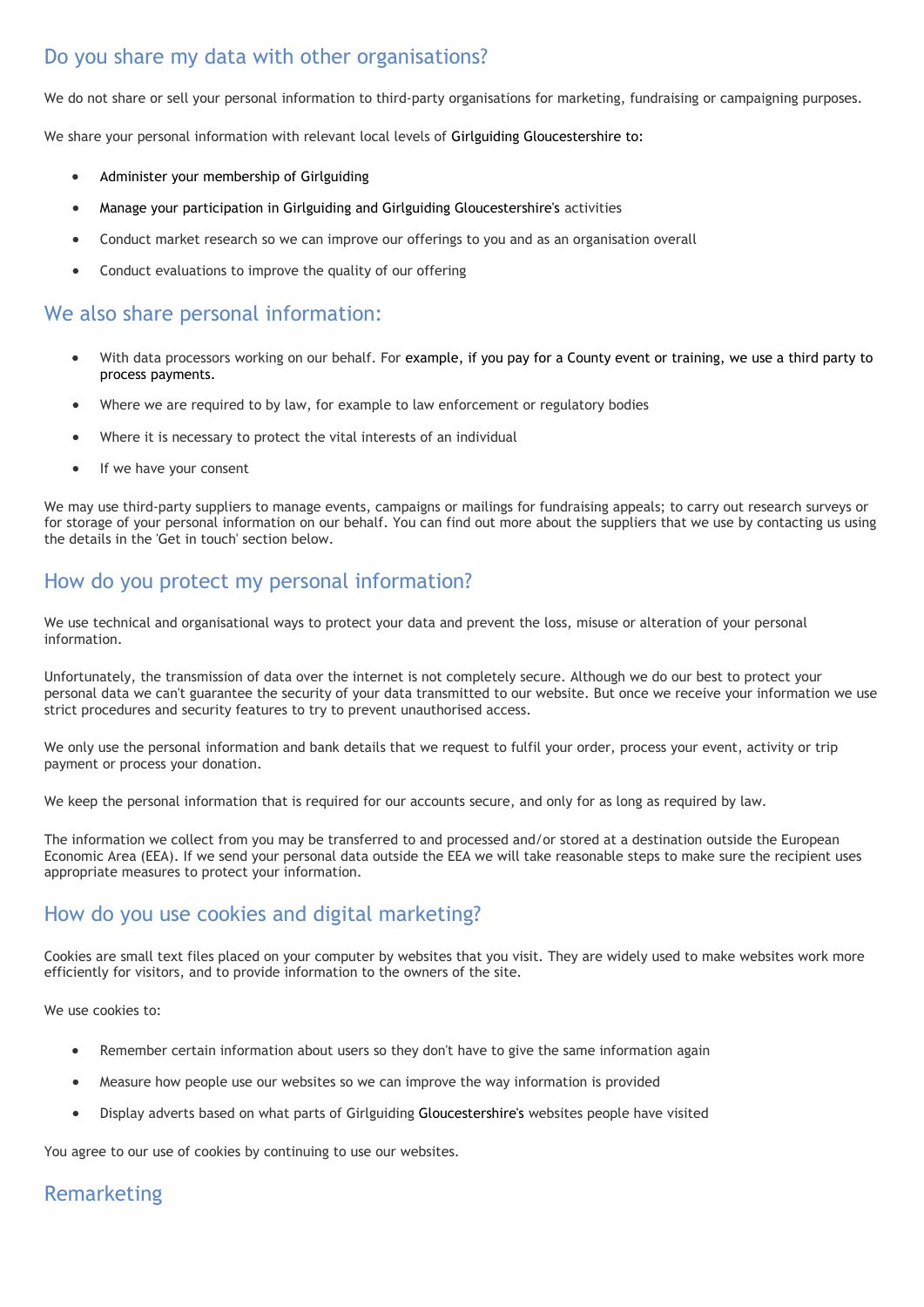# Do you share my data with other organisations?

We do not share or sell your personal information to third-party organisations for marketing, fundraising or campaigning purposes.

We share your personal information with relevant local levels of Girlguiding Gloucestershire to:

- Administer your membership of Girlguiding
- Manage your participation in Girlguiding and Girlguiding Gloucestershire's activities
- Conduct market research so we can improve our offerings to you and as an organisation overall
- Conduct evaluations to improve the quality of our offering

## We also share personal information:

- With data processors working on our behalf. For example, if you pay for a County event or training, we use a third party to process payments.
- Where we are required to by law, for example to law enforcement or regulatory bodies
- Where it is necessary to protect the vital interests of an individual
- If we have your consent

We may use third-party suppliers to manage events, campaigns or mailings for fundraising appeals; to carry out research surveys or for storage of your personal information on our behalf. You can find out more about the suppliers that we use by contacting us using the details in the 'Get in touch' section below.

### How do you protect my personal information?

We use technical and organisational ways to protect your data and prevent the loss, misuse or alteration of your personal information.

Unfortunately, the transmission of data over the internet is not completely secure. Although we do our best to protect your personal data we can't guarantee the security of your data transmitted to our website. But once we receive your information we use strict procedures and security features to try to prevent unauthorised access.

We only use the personal information and bank details that we request to fulfil your order, process your event, activity or trip payment or process your donation.

We keep the personal information that is required for our accounts secure, and only for as long as required by law.

The information we collect from you may be transferred to and processed and/or stored at a destination outside the European Economic Area (EEA). If we send your personal data outside the EEA we will take reasonable steps to make sure the recipient uses appropriate measures to protect your information.

## How do you use cookies and digital marketing?

Cookies are small text files placed on your computer by websites that you visit. They are widely used to make websites work more efficiently for visitors, and to provide information to the owners of the site.

We use cookies to:

- Remember certain information about users so they don't have to give the same information again
- Measure how people use our websites so we can improve the way information is provided
- Display adverts based on what parts of Girlguiding Gloucestershire's websites people have visited

You agree to our use of cookies by continuing to use our websites.

## Remarketing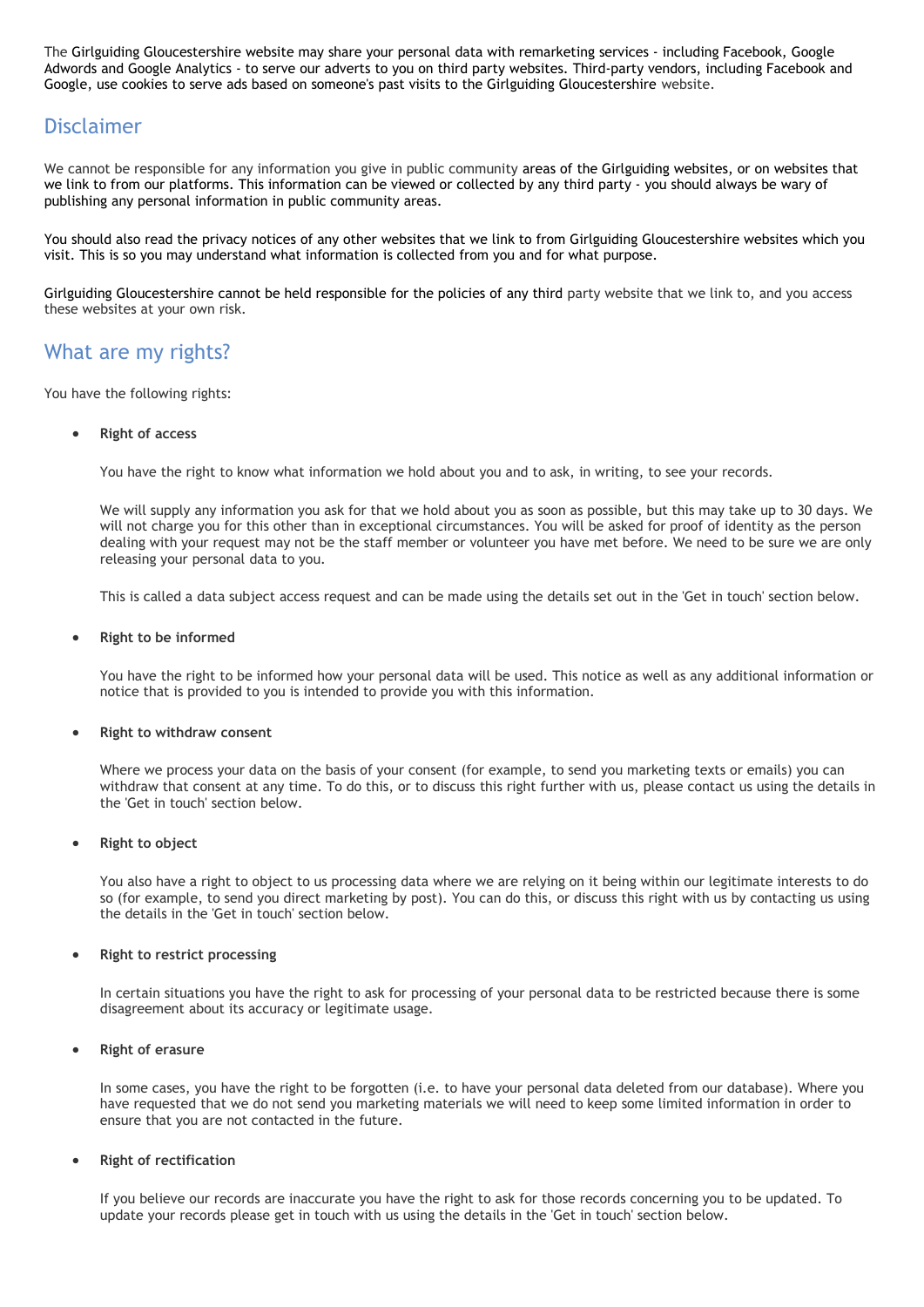The Girlguiding Gloucestershire website may share your personal data with remarketing services - including Facebook, Google Adwords and Google Analytics - to serve our adverts to you on third party websites. Third-party vendors, including Facebook and Google, use cookies to serve ads based on someone's past visits to the Girlguiding Gloucestershire website.

### Disclaimer

We cannot be responsible for any information you give in public community areas of the Girlguiding websites, or on websites that we link to from our platforms. This information can be viewed or collected by any third party - you should always be wary of publishing any personal information in public community areas.

You should also read the privacy notices of any other websites that we link to from Girlguiding Gloucestershire websites which you visit. This is so you may understand what information is collected from you and for what purpose.

Girlguiding Gloucestershire cannot be held responsible for the policies of any third party website that we link to, and you access these websites at your own risk.

### What are my rights?

You have the following rights:

#### **Right of access**

You have the right to know what information we hold about you and to ask, in writing, to see your records.

We will supply any information you ask for that we hold about you as soon as possible, but this may take up to 30 days. We will not charge you for this other than in exceptional circumstances. You will be asked for proof of identity as the person dealing with your request may not be the staff member or volunteer you have met before. We need to be sure we are only releasing your personal data to you.

This is called a data subject access request and can be made using the details set out in the 'Get in touch' section below.

#### **Right to be informed**

You have the right to be informed how your personal data will be used. This notice as well as any additional information or notice that is provided to you is intended to provide you with this information.

#### **Right to withdraw consent**

Where we process your data on the basis of your consent (for example, to send you marketing texts or emails) you can withdraw that consent at any time. To do this, or to discuss this right further with us, please contact us using the details in the 'Get in touch' section below.

#### **Right to object**

You also have a right to object to us processing data where we are relying on it being within our legitimate interests to do so (for example, to send you direct marketing by post). You can do this, or discuss this right with us by contacting us using the details in the 'Get in touch' section below.

#### **Right to restrict processing**

In certain situations you have the right to ask for processing of your personal data to be restricted because there is some disagreement about its accuracy or legitimate usage.

#### **Right of erasure**

In some cases, you have the right to be forgotten (i.e. to have your personal data deleted from our database). Where you have requested that we do not send you marketing materials we will need to keep some limited information in order to ensure that you are not contacted in the future.

#### **Right of rectification**

If you believe our records are inaccurate you have the right to ask for those records concerning you to be updated. To update your records please get in touch with us using the details in the 'Get in touch' section below.